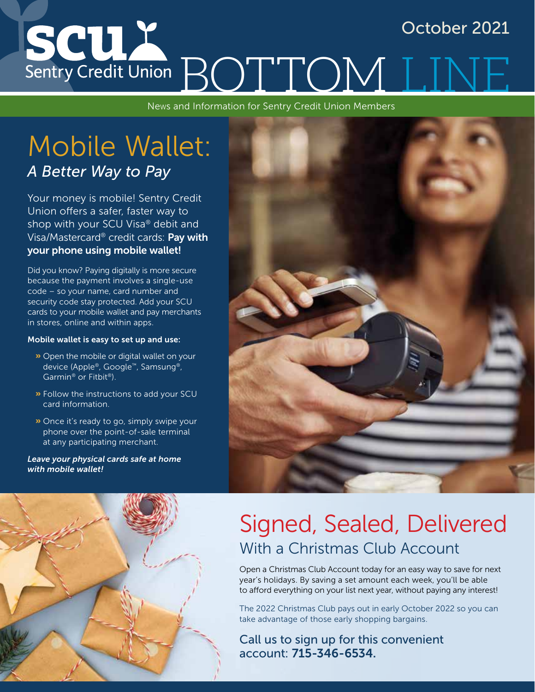### SCUX October 2021 Sentry Credit Union BOTTOM

News and Information for Sentry Credit Union Members

### Mobile Wallet: *A Better Way to Pay*

Your money is mobile! Sentry Credit Union offers a safer, faster way to shop with your SCU Visa® debit and Visa/Mastercard® credit cards: Pay with your phone using mobile wallet!

Did you know? Paying digitally is more secure because the payment involves a single-use code – so your name, card number and security code stay protected. Add your SCU cards to your mobile wallet and pay merchants in stores, online and within apps.

#### Mobile wallet is easy to set up and use:

- **»** Open the mobile or digital wallet on your device (Apple®, Google™, Samsung®, Garmin® or Fitbit®).
- » Follow the instructions to add your SCU card information.
- » Once it's ready to go, simply swipe your phone over the point-of-sale terminal at any participating merchant.

*Leave your physical cards safe at home with mobile wallet!*





### Signed, Sealed, Delivered With a Christmas Club Account

Open a Christmas Club Account today for an easy way to save for next year's holidays. By saving a set amount each week, you'll be able to afford everything on your list next year, without paying any interest!

The 2022 Christmas Club pays out in early October 2022 so you can take advantage of those early shopping bargains.

Call us to sign up for this convenient account: 715-346-6534.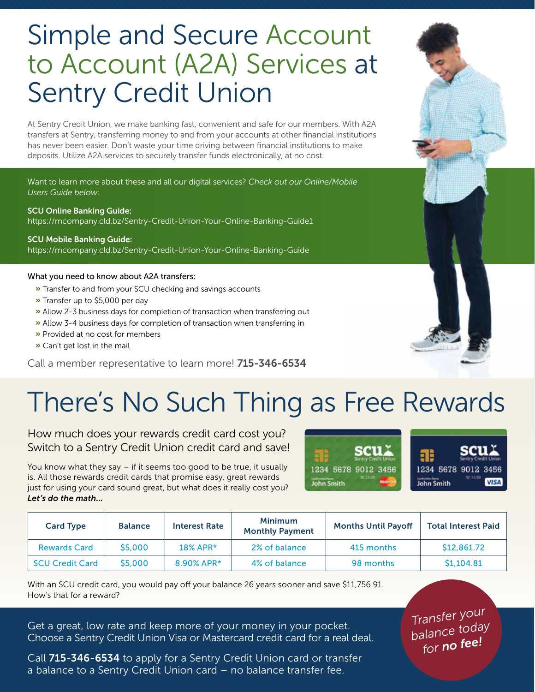# Simple and Secure Account to Account (A2A) Services at Sentry Credit Union

At Sentry Credit Union, we make banking fast, convenient and safe for our members. With A2A transfers at Sentry, transferring money to and from your accounts at other financial institutions has never been easier. Don't waste your time driving between financial institutions to make deposits. Utilize A2A services to securely transfer funds electronically, at no cost.

Want to learn more about these and all our digital services? *Check out our Online/Mobile Users Guide below:*

SCU Online Banking Guide: https://mcompany.cld.bz/Sentry-Credit-Union-Your-Online-Banking-Guide1

SCU Mobile Banking Guide: https://mcompany.cld.bz/Sentry-Credit-Union-Your-Online-Banking-Guide

#### What you need to know about A2A transfers:

- **»** Transfer to and from your SCU checking and savings accounts
- » Transfer up to \$5,000 per day
- » Allow 2-3 business days for completion of transaction when transferring out
- » Allow 3-4 business days for completion of transaction when transferring in
- » Provided at no cost for members
- » Can't get lost in the mail

Call a member representative to learn more! 715-346-6534

# There's No Such Thing as Free Rewards

How much does your rewards credit card cost you? Switch to a Sentry Credit Union credit card and save!

You know what they say – if it seems too good to be true, it usually is. All those rewards credit cards that promise easy, great rewards just for using your card sound great, but what does it really cost you? *Let's do the math...*



| <b>Card Type</b>       | <b>Balance</b> | <b>Interest Rate</b> | <b>Minimum</b><br><b>Monthly Payment</b> | <b>Months Until Payoff</b> | <b>Total Interest Paid</b> |
|------------------------|----------------|----------------------|------------------------------------------|----------------------------|----------------------------|
| <b>Rewards Card</b>    | \$5,000        | $18\%$ APR*          | 2% of balance                            | 415 months                 | \$12,861.72                |
| <b>SCU Credit Card</b> | \$5,000        | 8.90% APR*           | 4% of balance                            | 98 months                  | \$1.104.81                 |

With an SCU credit card, you would pay off your balance 26 years sooner and save \$11,756.91. How's that for a reward?

Get a great, low rate and keep more of your money in your pocket. Choose a Sentry Credit Union Visa or Mastercard credit card for a real deal.

Call 715-346-6534 to apply for a Sentry Credit Union card or transfer a balance to a Sentry Credit Union card – no balance transfer fee.

*Transfer your balance today for no fee!*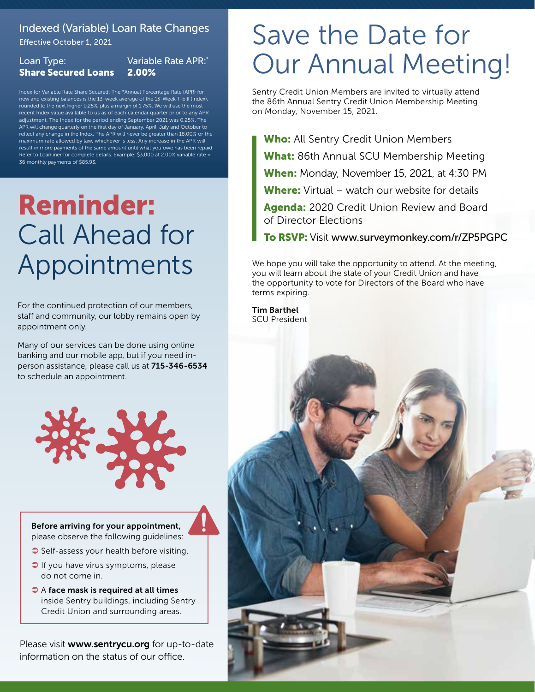### Indexed (Variable) Loan Rate Changes

Effective October 1, 2021

#### Loan Type: Share Secured Loans Variable Rate APR:\*

Index for Variable Rate Share Secured: The \*Annual Percentage Rate (APR) for 2.00%

new and existing balances is the 13-week average of the 13-Week T-bill (Index), rounded to the next higher 0.25%, plus a margin of 1.75%. We will use the most recent Index value available to us as of each calendar quarter prior to any APR adjustment. The Index for the period ending September 2021 was 0.25%. The APR will change quarterly on the first day of January, April, July and October to reflect any change in the Index. The APR will never be greater than 18.00% or the maximum rate allowed by law, whichever is less. Any increase in the APR will result in more payments of the same amount until what you owe has been repaid. Refer to Loanliner for complete details. Example: \$3,000 at 2.00% variable rate = 36 monthly payments of \$85.93.

# Reminder: Call Ahead for Appointments

For the continued protection of our members, staff and community, our lobby remains open by appointment only.

Many of our services can be done using online banking and our mobile app, but if you need inperson assistance, please call us at 715-346-6534 to schedule an appointment.

Before arriving for your appointment, please observe the following guidelines:

- Self-assess your health before visiting.
- $\supset$  If you have virus symptoms, please do not come in.
- $\bullet$  A face mask is required at all times inside Sentry buildings, including Sentry Credit Union and surrounding areas.

Please visit www.sentrycu.org for up-to-date information on the status of our office.

### Save the Date for Our Annual Meeting!

Sentry Credit Union Members are invited to virtually attend the 86th Annual Sentry Credit Union Membership Meeting on Monday, November 15, 2021.

Who: All Sentry Credit Union Members What: 86th Annual SCU Membership Meeting When: Monday, November 15, 2021, at 4:30 PM Where: Virtual – watch our website for details

Agenda: 2020 Credit Union Review and Board of Director Elections

To RSVP: Visit www.surveymonkey.com/r/ZP5PGPC

We hope you will take the opportunity to attend. At the meeting, you will learn about the state of your Credit Union and have the opportunity to vote for Directors of the Board who have terms expiring.

Tim Barthel SCU President